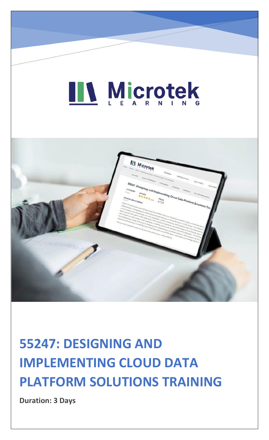## LL Microtek



### **55247: DESIGNING AND IMPLEMENTING CLOUD DATA PLATFORM SOLUTIONS TRAINING**

**Duration: 3 Days**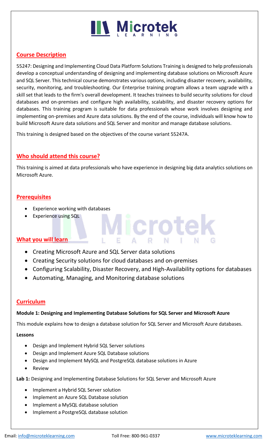## **IIV Microtek**

#### **Course Description**

55247: Designing and Implementing Cloud Data Platform Solutions Training is designed to help professionals develop a conceptual understanding of designing and implementing database solutions on Microsoft Azure and SQL Server. This technical course demonstrates various options, including disaster recovery, availability, security, monitoring, and troubleshooting. Our Enterprise training program allows a team upgrade with a skill set that leads to the firm's overall development. It teaches trainees to build security solutions for cloud databases and on-premises and configure high availability, scalability, and disaster recovery options for databases. This training program is suitable for data professionals whose work involves designing and implementing on-premises and Azure data solutions. By the end of the course, individuals will know how to build Microsoft Azure data solutions and SQL Server and monitor and manage database solutions.

This training is designed based on the objectives of the course variant 55247A.

#### **Who should attend this course?**

This training is aimed at data professionals who have experience in designing big data analytics solutions on Microsoft Azure.

#### **Prerequisites**

- Experience working with databases
- Experience using SQL

#### **What you will learn**

- Creating Microsoft Azure and SQL Server data solutions
- Creating Security solutions for cloud databases and on-premises
- Configuring Scalability, Disaster Recovery, and High-Availability options for databases

Microtel

• Automating, Managing, and Monitoring database solutions

#### **Curriculum**

#### **Module 1: Designing and Implementing Database Solutions for SQL Server and Microsoft Azure**

This module explains how to design a database solution for SQL Server and Microsoft Azure databases.

#### **Lessons**

- Design and Implement Hybrid SQL Server solutions
- Design and Implement Azure SQL Database solutions
- Design and Implement MySQL and PostgreSQL database solutions in Azure
- Review

**Lab 1:** Designing and Implementing Database Solutions for SQL Server and Microsoft Azure

- Implement a Hybrid SQL Server solution
- Implement an Azure SQL Database solution
- Implement a MySQL database solution
- Implement a PostgreSQL database solution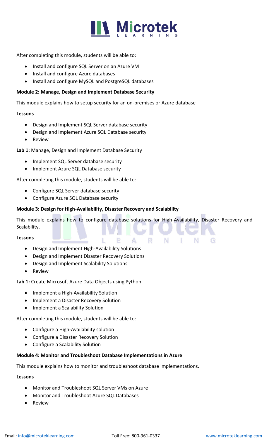## **N** Microtek

After completing this module, students will be able to:

- Install and configure SQL Server on an Azure VM
- Install and configure Azure databases
- Install and configure MySQL and PostgreSQL databases

#### **Module 2: Manage, Design and Implement Database Security**

This module explains how to setup security for an on-premises or Azure database

#### **Lessons**

- Design and Implement SQL Server database security
- Design and Implement Azure SQL Database security
- Review

**Lab 1:** Manage, Design and Implement Database Security

- Implement SQL Server database security
- Implement Azure SQL Database security

After completing this module, students will be able to:

- Configure SQL Server database security
- Configure Azure SQL Database security

#### **Module 3: Design for High-Availability, Disaster Recovery and Scalability**

This module explains how to configure database solutions for High-Availability, Disaster Recovery and Scalability.

R.

N.

#### **Lessons**

- Design and Implement High-Availability Solutions
- Design and Implement Disaster Recovery Solutions
- Design and Implement Scalability Solutions
- **Review**

**Lab 1:** Create Microsoft Azure Data Objects using Python

- Implement a High-Availability Solution
- Implement a Disaster Recovery Solution
- Implement a Scalability Solution

After completing this module, students will be able to:

- Configure a High-Availability solution
- Configure a Disaster Recovery Solution
- Configure a Scalability Solution

#### **Module 4: Monitor and Troubleshoot Database Implementations in Azure**

This module explains how to monitor and troubleshoot database implementations.

#### **Lessons**

- Monitor and Troubleshoot SQL Server VMs on Azure
- Monitor and Troubleshoot Azure SQL Databases
- **Review**